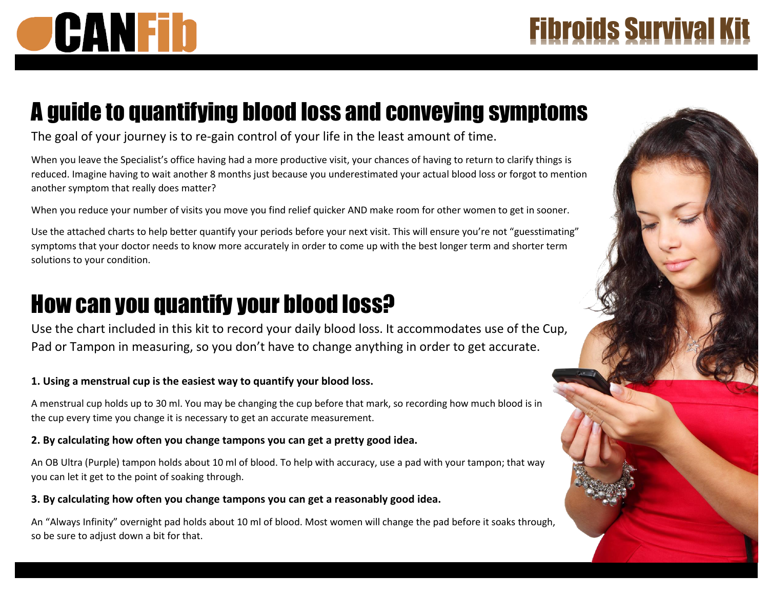# **DCANFib**

# **Fibroids Survival I**

# A guide to quantifying blood loss and conveying symptoms

The goal of your journey is to re-gain control of your life in the least amount of time.

When you leave the Specialist's office having had a more productive visit, your chances of having to return to clarify things is reduced. Imagine having to wait another 8 months just because you underestimated your actual blood loss or forgot to mention another symptom that really does matter?

When you reduce your number of visits you move you find relief quicker AND make room for other women to get in sooner.

Use the attached charts to help better quantify your periods before your next visit. This will ensure you're not "guesstimating" symptoms that your doctor needs to know more accurately in order to come up with the best longer term and shorter term solutions to your condition.

## How can you quantify your blood loss?

Use the chart included in this kit to record your daily blood loss. It accommodates use of the Cup, Pad or Tampon in measuring, so you don't have to change anything in order to get accurate.

### **1. Using a menstrual cup is the easiest way to quantify your blood loss.**

A menstrual cup holds up to 30 ml. You may be changing the cup before that mark, so recording how much blood is in the cup every time you change it is necessary to get an accurate measurement.

### **2. By calculating how often you change tampons you can get a pretty good idea.**

An OB Ultra (Purple) tampon holds about 10 ml of blood. To help with accuracy, use a pad with your tampon; that way you can let it get to the point of soaking through.

### **3. By calculating how often you change tampons you can get a reasonably good idea.**

An "Always Infinity" overnight pad holds about 10 ml of blood. Most women will change the pad before it soaks through, so be sure to adjust down a bit for that.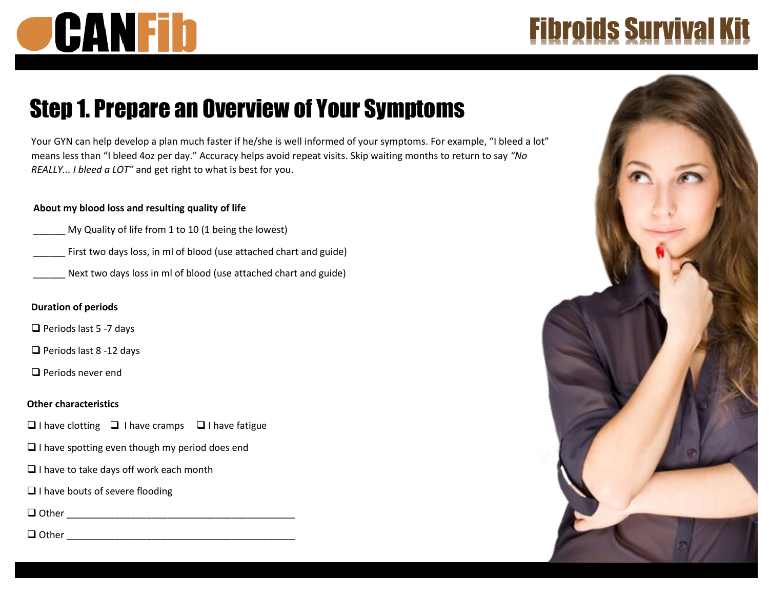# **PCANFib**

# **Fibroids Survival**

# Step 1. Prepare an Overview of Your Symptoms

Your GYN can help develop a plan much faster if he/she is well informed of your symptoms. For example, "I bleed a lot" means less than "I bleed 4oz per day." Accuracy helps avoid repeat visits. Skip waiting months to return to say *"No REALLY... I bleed a LOT"* and get right to what is best for you.

#### **About my blood loss and resulting quality of life**

- \_\_\_\_\_\_ My Quality of life from 1 to 10 (1 being the lowest)
- \_\_\_\_\_\_ First two days loss, in ml of blood (use attached chart and guide)
- Next two days loss in ml of blood (use attached chart and guide)

### **Duration of periods**

❑ Periods last 5 -7 days

❑ Periods last 8 -12 days

❑ Periods never end

### **Other characteristics**

- ❑ I have clotting ❑ I have cramps ❑ I have fatigue
- ❑ I have spotting even though my period does end
- ❑ I have to take days off work each month
- ❑ I have bouts of severe flooding
- ❑ Other \_\_\_\_\_\_\_\_\_\_\_\_\_\_\_\_\_\_\_\_\_\_\_\_\_\_\_\_\_\_\_\_\_\_\_\_\_\_\_\_\_\_\_

❑ Other \_\_\_\_\_\_\_\_\_\_\_\_\_\_\_\_\_\_\_\_\_\_\_\_\_\_\_\_\_\_\_\_\_\_\_\_\_\_\_\_\_\_\_

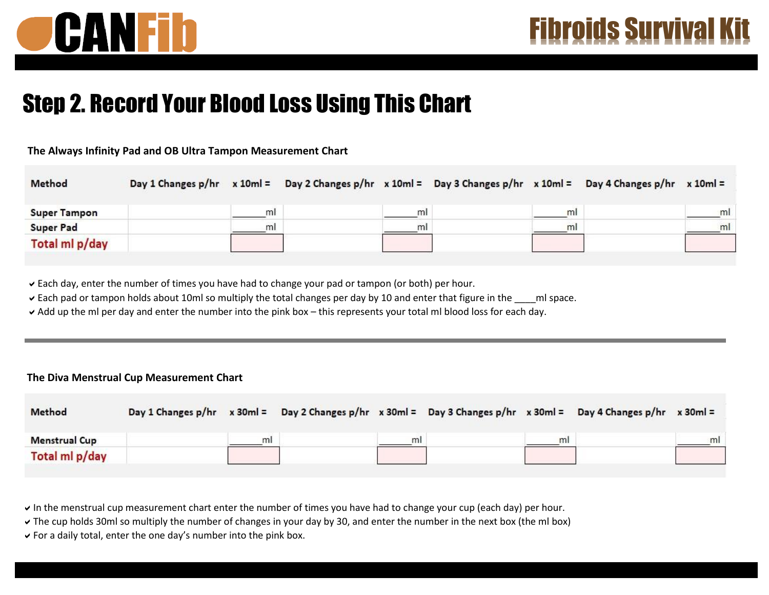

## Step 2. Record Your Blood Loss Using This Chart

**The Always Infinity Pad and OB Ultra Tampon Measurement Chart**

| Method              |    |    |    | Day 1 Changes p/hr x 10ml = Day 2 Changes p/hr x 10ml = Day 3 Changes p/hr x 10ml = Day 4 Changes p/hr x 10ml = |    |
|---------------------|----|----|----|-----------------------------------------------------------------------------------------------------------------|----|
| <b>Super Tampon</b> | ml | ml | m  |                                                                                                                 | ml |
| <b>Super Pad</b>    | ml | ml | ml |                                                                                                                 | ml |
| Total ml p/day      |    |    |    |                                                                                                                 |    |

Each day, enter the number of times you have had to change your pad or tampon (or both) per hour.

► Each pad or tampon holds about 10ml so multiply the total changes per day by 10 and enter that figure in the \_\_\_\_ml space.

Add up the ml per day and enter the number into the pink box – this represents your total ml blood loss for each day.

### **The Diva Menstrual Cup Measurement Chart**

| Method               |    |    |    | Day 1 Changes p/hr x 30ml = Day 2 Changes p/hr x 30ml = Day 3 Changes p/hr x 30ml = Day 4 Changes p/hr x 30ml = |   |
|----------------------|----|----|----|-----------------------------------------------------------------------------------------------------------------|---|
| <b>Menstrual Cup</b> | ml | ml | ml |                                                                                                                 | m |
| Total ml p/day       |    |    |    |                                                                                                                 |   |

In the menstrual cup measurement chart enter the number of times you have had to change your cup (each day) per hour.

The cup holds 30ml so multiply the number of changes in your day by 30, and enter the number in the next box (the ml box)

 $\vee$  For a daily total, enter the one day's number into the pink box.